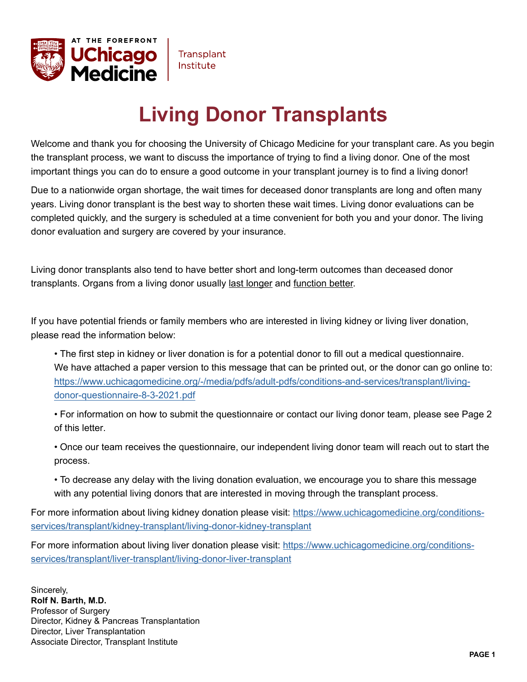

# **Living Donor Transplants**

Welcome and thank you for choosing the University of Chicago Medicine for your transplant care. As you begin the transplant process, we want to discuss the importance of trying to find a living donor. One of the most important things you can do to ensure a good outcome in your transplant journey is to find a living donor!

Due to a nationwide organ shortage, the wait times for deceased donor transplants are long and often many years. Living donor transplant is the best way to shorten these wait times. Living donor evaluations can be completed quickly, and the surgery is scheduled at a time convenient for both you and your donor. The living donor evaluation and surgery are covered by your insurance.

Living donor transplants also tend to have better short and long-term outcomes than deceased donor transplants. Organs from a living donor usually last longer and function better.

If you have potential friends or family members who are interested in living kidney or living liver donation, please read the information below:

 • The first step in kidney or liver donation is for a potential donor to fill out a medical questionnaire. We have attached a paper version to this message that can be printed out, or the donor can go online to: [https://www.uchicagomedicine.org/-/media/pdfs/adult-pdfs/conditions-and-services/transplant/living](https://www.uchicagomedicine.org/-/media/pdfs/adult-pdfs/conditions-and-services/transplant/living-d)[donor-questionnaire-](https://www.uchicagomedicine.org/-/media/pdfs/adult-pdfs/conditions-and-services/transplant/living-donor-questionnaire-8-3-2021.pdf)8-3-2021.pdf

• For information on how to submit the questionnaire or contact our living donor team, please see Page 2 of this letter.

• Once our team receives the questionnaire, our independent living donor team will reach out to start the process.

• To decrease any delay with the living donation evaluation, we encourage you to share this message with any potential living donors that are interested in moving through the transplant process.

For more information about living kidney donation please visit: [https://www.uchicagomedicine.org/conditions](https://www.uchicagomedicine.org/conditions-services/transplant/kidney-transplant/living-donor-kidne)[services/transplant/kidney-transplant/living-donor-kidney-transplant](https://www.uchicagomedicine.org/conditions-services/transplant/kidney-transplant/living-donor-kidney-transplant) 

For more information about living liver donation please visit: [https://www.uchicagomedicine.org/conditions](https://www.uchicagomedicine.org/conditions-services/transplant/liver-transplant/living-donor-liver-)[services/transplant/liver-transplant/living-donor-liver-transplant](https://www.uchicagomedicine.org/conditions-services/transplant/liver-transplant/living-donor-liver-transplant) 

Sincerely, **Rolf N. Barth, M.D.**  Professor of Surgery Director, Kidney & Pancreas Transplantation Director, Liver Transplantation Associate Director, Transplant Institute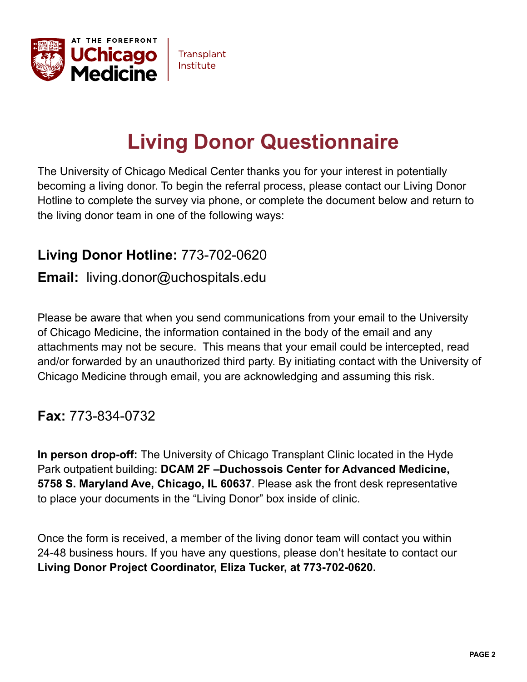

# **Living Donor Questionnaire**

The University of Chicago Medical Center thanks you for your interest in potentially becoming a living donor. To begin the referral process, please contact our Living Donor Hotline to complete the survey via phone, or complete the document below and return to the living donor team in one of the following ways:

### **Living Donor Hotline:** 773-702-0620

### **Email:** [living.donor@uchospitals.edu](mailto:living.donor@uchospitals.edu)

Please be aware that when you send communications from your email to the University of Chicago Medicine, the information contained in the body of the email and any attachments may not be secure. This means that your email could be intercepted, read and/or forwarded by an unauthorized third party. By initiating contact with the University of Chicago Medicine through email, you are acknowledging and assuming this risk.

### **Fax:** 773-834-0732

**In person drop-off:** The University of Chicago Transplant Clinic located in the Hyde Park outpatient building: **DCAM 2F –Duchossois Center for Advanced Medicine, 5758 S. Maryland Ave, Chicago, IL 60637**. Please ask the front desk representative to place your documents in the "Living Donor" box inside of clinic.

Once the form is received, a member of the living donor team will contact you within 24-48 business hours. If you have any questions, please don't hesitate to contact our **Living Donor Project Coordinator, Eliza Tucker, at 773-702-0620.**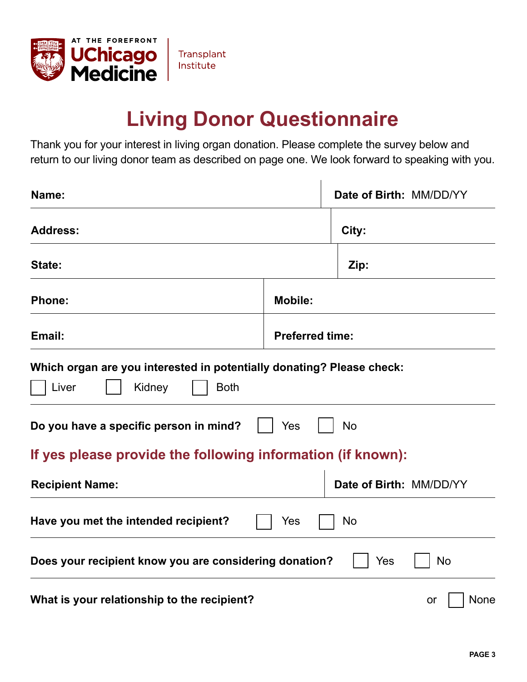

## **Living Donor Questionnaire**

Thank you for your interest in living organ donation. Please complete the survey below and return to our living donor team as described on page one. We look forward to speaking with you.

| Name:                                                                                                   |                        | Date of Birth: MM/DD/YY |                   |
|---------------------------------------------------------------------------------------------------------|------------------------|-------------------------|-------------------|
| <b>Address:</b>                                                                                         | City:                  |                         |                   |
| State:                                                                                                  |                        | Zip:                    |                   |
| <b>Phone:</b>                                                                                           | <b>Mobile:</b>         |                         |                   |
| Email:                                                                                                  | <b>Preferred time:</b> |                         |                   |
| Which organ are you interested in potentially donating? Please check:<br>Liver<br><b>Both</b><br>Kidney |                        |                         |                   |
| Do you have a specific person in mind?                                                                  | Yes                    | <b>No</b>               |                   |
| If yes please provide the following information (if known):                                             |                        |                         |                   |
| <b>Recipient Name:</b>                                                                                  |                        | Date of Birth: MM/DD/YY |                   |
| Have you met the intended recipient?                                                                    | Yes                    | <b>No</b>               |                   |
| Does your recipient know you are considering donation?<br>No<br>Yes                                     |                        |                         |                   |
| What is your relationship to the recipient?                                                             |                        |                         | <b>None</b><br>or |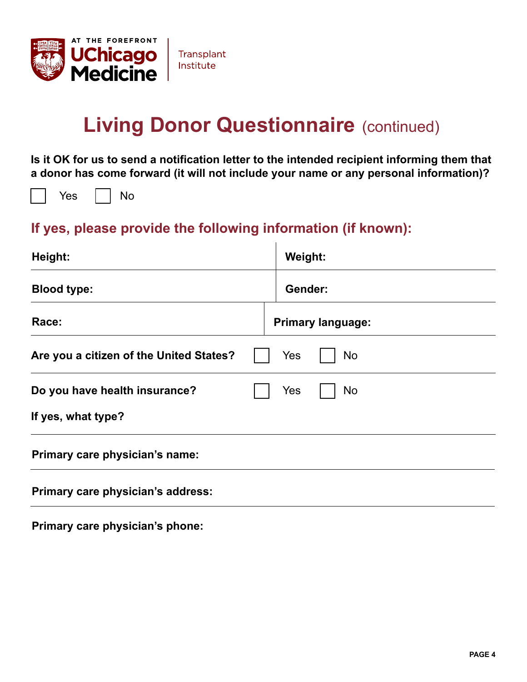

## **Living Donor Questionnaire (continued)**

**Is it OK for us to send a notification letter to the intended recipient informing them that a donor has come forward (it will not include your name or any personal information)?** 

Yes | | No

### **If yes, please provide the following information (if known):**

| Height:                                 | Weight: |                          |
|-----------------------------------------|---------|--------------------------|
| <b>Blood type:</b>                      | Gender: |                          |
| Race:                                   |         | <b>Primary language:</b> |
| Are you a citizen of the United States? | Yes     | <b>No</b>                |
| Do you have health insurance?           | Yes     | <b>No</b>                |
| If yes, what type?                      |         |                          |
| Primary care physician's name:          |         |                          |
| Primary care physician's address:       |         |                          |

**Primary care physician's phone:**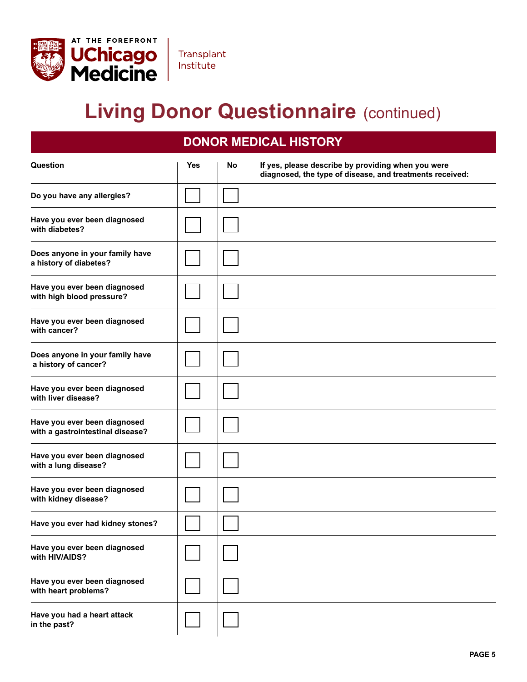

## **Living Donor Questionnaire (continued)**

### **DONOR MEDICAL HISTORY**

| Question                                                         | <b>Yes</b> | No | If yes, please describe by providing when you were<br>diagnosed, the type of disease, and treatments received: |
|------------------------------------------------------------------|------------|----|----------------------------------------------------------------------------------------------------------------|
| Do you have any allergies?                                       |            |    |                                                                                                                |
| Have you ever been diagnosed<br>with diabetes?                   |            |    |                                                                                                                |
| Does anyone in your family have<br>a history of diabetes?        |            |    |                                                                                                                |
| Have you ever been diagnosed<br>with high blood pressure?        |            |    |                                                                                                                |
| Have you ever been diagnosed<br>with cancer?                     |            |    |                                                                                                                |
| Does anyone in your family have<br>a history of cancer?          |            |    |                                                                                                                |
| Have you ever been diagnosed<br>with liver disease?              |            |    |                                                                                                                |
| Have you ever been diagnosed<br>with a gastrointestinal disease? |            |    |                                                                                                                |
| Have you ever been diagnosed<br>with a lung disease?             |            |    |                                                                                                                |
| Have you ever been diagnosed<br>with kidney disease?             |            |    |                                                                                                                |
| Have you ever had kidney stones?                                 |            |    |                                                                                                                |
| Have you ever been diagnosed<br>with HIV/AIDS?                   |            |    |                                                                                                                |
| Have you ever been diagnosed<br>with heart problems?             |            |    |                                                                                                                |
| Have you had a heart attack<br>in the past?                      |            |    |                                                                                                                |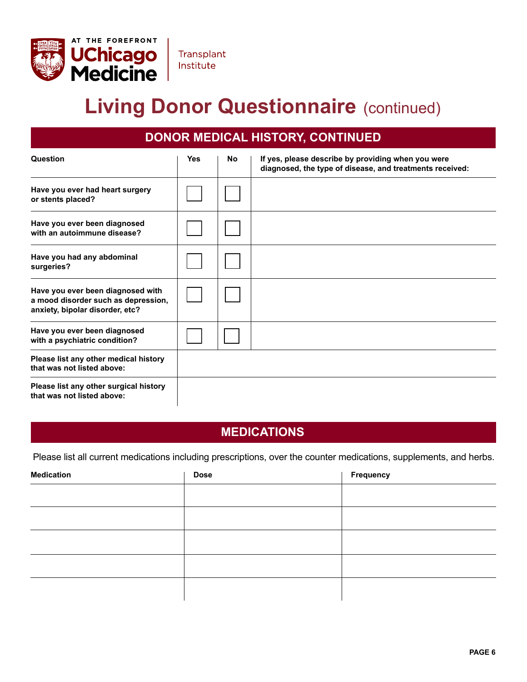

# **Living Donor Questionnaire (continued)**

**Transplant** Institute

### **DONOR MEDICAL HISTORY, CONTINUED**

| Question                                                                                                    | <b>Yes</b> | No | If yes, please describe by providing when you were<br>diagnosed, the type of disease, and treatments received: |
|-------------------------------------------------------------------------------------------------------------|------------|----|----------------------------------------------------------------------------------------------------------------|
| Have you ever had heart surgery<br>or stents placed?                                                        |            |    |                                                                                                                |
| Have you ever been diagnosed<br>with an autoimmune disease?                                                 |            |    |                                                                                                                |
| Have you had any abdominal<br>surgeries?                                                                    |            |    |                                                                                                                |
| Have you ever been diagnosed with<br>a mood disorder such as depression,<br>anxiety, bipolar disorder, etc? |            |    |                                                                                                                |
| Have you ever been diagnosed<br>with a psychiatric condition?                                               |            |    |                                                                                                                |
| Please list any other medical history<br>that was not listed above:                                         |            |    |                                                                                                                |
| Please list any other surgical history<br>that was not listed above:                                        |            |    |                                                                                                                |

#### **MEDICATIONS**

Please list all current medications including prescriptions, over the counter medications, supplements, and herbs.

| <b>Medication</b> | <b>Dose</b> | <b>Frequency</b> |
|-------------------|-------------|------------------|
|                   |             |                  |
|                   |             |                  |
|                   |             |                  |
|                   |             |                  |
|                   |             |                  |
|                   |             |                  |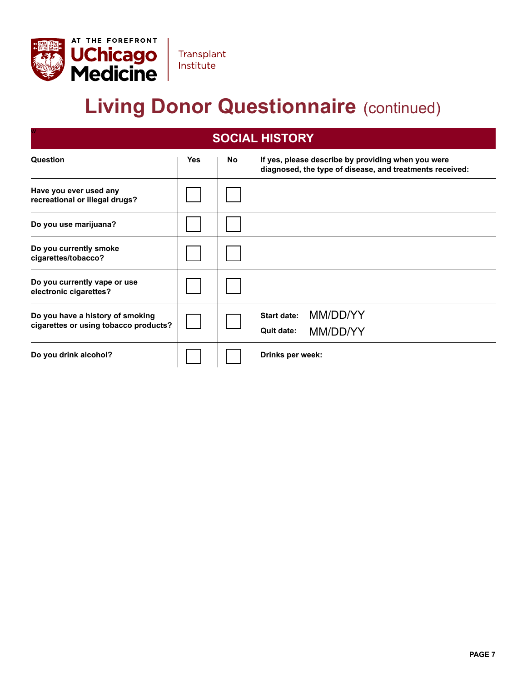

w

# **Living Donor Questionnaire (continued)**

Transplant Institute

#### **SOCIAL HISTORY**

| Question                                                                  | Yes | <b>No</b> | If yes, please describe by providing when you were<br>diagnosed, the type of disease, and treatments received: |
|---------------------------------------------------------------------------|-----|-----------|----------------------------------------------------------------------------------------------------------------|
| Have you ever used any<br>recreational or illegal drugs?                  |     |           |                                                                                                                |
| Do you use marijuana?                                                     |     |           |                                                                                                                |
| Do you currently smoke<br>cigarettes/tobacco?                             |     |           |                                                                                                                |
| Do you currently vape or use<br>electronic cigarettes?                    |     |           |                                                                                                                |
| Do you have a history of smoking<br>cigarettes or using tobacco products? |     |           | MM/DD/YY<br><b>Start date:</b><br><b>Quit date:</b><br>MM/DD/YY                                                |
| Do you drink alcohol?                                                     |     |           | Drinks per week:                                                                                               |